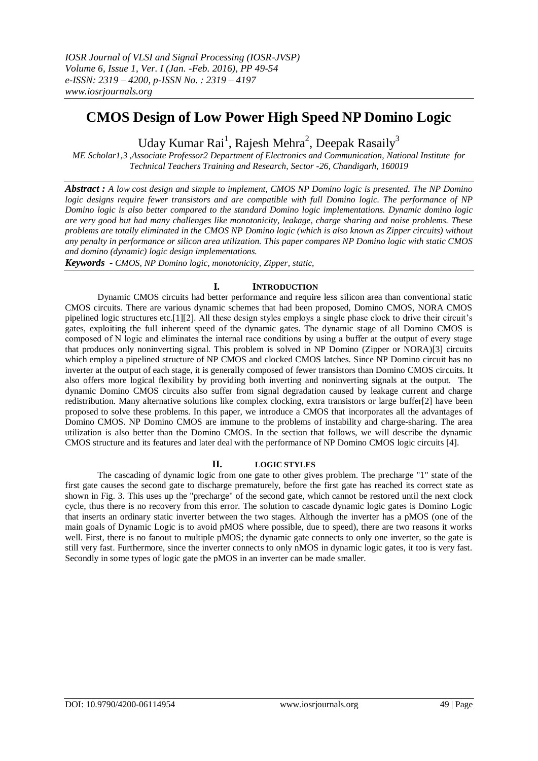# **CMOS Design of Low Power High Speed NP Domino Logic**

Uday Kumar Rai<sup>1</sup>, Rajesh Mehra<sup>2</sup>, Deepak Rasaily<sup>3</sup>

*ME Scholar1,3 ,Associate Professor2 Department of Electronics and Communication, National Institute for Technical Teachers Training and Research, Sector -26, Chandigarh, 160019*

*Abstract : A low cost design and simple to implement, CMOS NP Domino logic is presented. The NP Domino logic designs require fewer transistors and are compatible with full Domino logic. The performance of NP Domino logic is also better compared to the standard Domino logic implementations. Dynamic domino logic are very good but had many challenges like monotonicity, leakage, charge sharing and noise problems. These problems are totally eliminated in the CMOS NP Domino logic (which is also known as Zipper circuits) without any penalty in performance or silicon area utilization. This paper compares NP Domino logic with static CMOS and domino (dynamic) logic design implementations.*

*Keywords - CMOS, NP Domino logic, monotonicity, Zipper, static,*

## **I. INTRODUCTION**

Dynamic CMOS circuits had better performance and require less silicon area than conventional static CMOS circuits. There are various dynamic schemes that had been proposed, Domino CMOS, NORA CMOS pipelined logic structures etc.[1][2]. All these design styles employs a single phase clock to drive their circuit's gates, exploiting the full inherent speed of the dynamic gates. The dynamic stage of all Domino CMOS is composed of Ν logic and eliminates the internal race conditions by using a buffer at the output of every stage that produces only noninverting signal. This problem is solved in NP Domino (Zipper or NORA)[3] circuits which employ a pipelined structure of NP CMOS and clocked CMOS latches. Since NP Domino circuit has no inverter at the output of each stage, it is generally composed of fewer transistors than Domino CMOS circuits. It also offers more logical flexibility by providing both inverting and noninverting signals at the output. The dynamic Domino CMOS circuits also suffer from signal degradation caused by leakage current and charge redistribution. Many alternative solutions like complex clocking, extra transistors or large buffer[2] have been proposed to solve these problems. In this paper, we introduce a CMOS that incorporates all the advantages of Domino CMOS. NP Domino CMOS are immune to the problems of instability and charge-sharing. The area utilization is also better than the Domino CMOS. In the section that follows, we will describe the dynamic CMOS structure and its features and later deal with the performance of NP Domino CMOS logic circuits [4].

## **II. LOGIC STYLES**

The cascading of dynamic logic from one gate to other gives problem. The precharge "1" state of the first gate causes the second gate to discharge prematurely, before the first gate has reached its correct state as shown in Fig. 3. This uses up the "precharge" of the second gate, which cannot be restored until the next clock cycle, thus there is no recovery from this error. The solution to cascade dynamic logic gates is Domino Logic that inserts an ordinary static inverter between the two stages. Although the inverter has a pMOS (one of the main goals of Dynamic Logic is to avoid pMOS where possible, due to speed), there are two reasons it works well. First, there is no fanout to multiple pMOS; the dynamic gate connects to only one inverter, so the gate is still very fast. Furthermore, since the inverter connects to only nMOS in dynamic logic gates, it too is very fast. Secondly in some types of logic gate the pMOS in an inverter can be made smaller.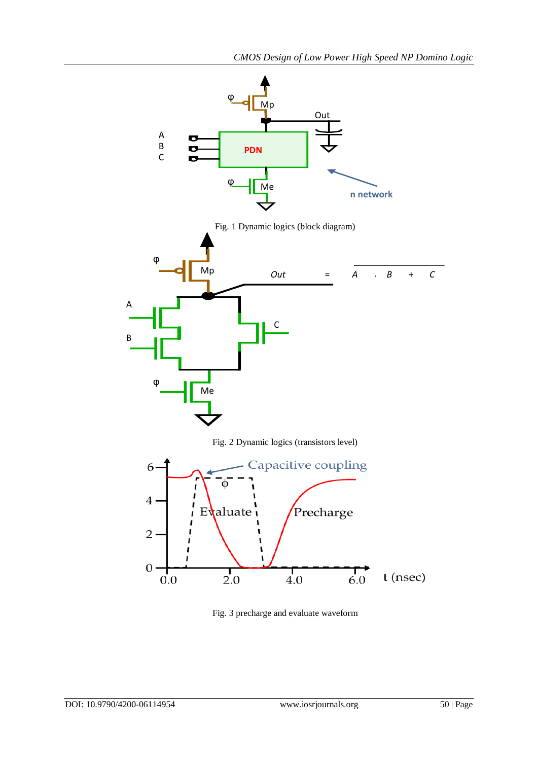

Fig. 3 precharge and evaluate waveform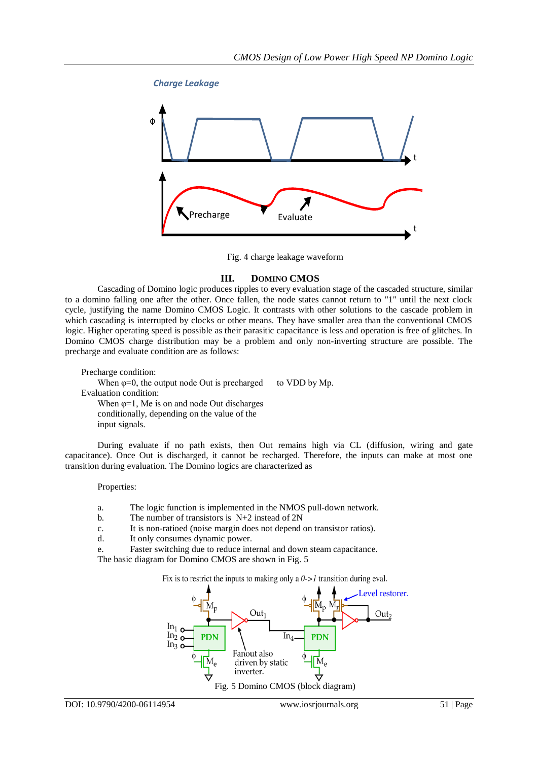

Fig. 4 charge leakage waveform

## **III. DOMINO CMOS**

Cascading of Domino logic produces ripples to every evaluation stage of the cascaded structure, similar to a domino falling one after the other. Once fallen, the node states cannot return to "1" until the next clock cycle, justifying the name Domino CMOS Logic. It contrasts with other solutions to the cascade problem in which cascading is interrupted by clocks or other means. They have smaller area than the conventional CMOS logic. Higher operating speed is possible as their parasitic capacitance is less and operation is free of glitches. In Domino CMOS charge distribution may be a problem and only non-inverting structure are possible. The precharge and evaluate condition are as follows:

Precharge condition: When  $\varphi=0$ , the output node Out is precharged to VDD by Mp. Evaluation condition: When  $\varphi=1$ , Me is on and node Out discharges conditionally, depending on the value of the input signals.

During evaluate if no path exists, then Out remains high via CL (diffusion, wiring and gate capacitance). Once Out is discharged, it cannot be recharged. Therefore, the inputs can make at most one transition during evaluation. The Domino logics are characterized as

#### Properties:

- a. The logic function is implemented in the NMOS pull-down network.
- b. The number of transistors is N+2 instead of 2N
- c. It is non-ratioed (noise margin does not depend on transistor ratios).
- d. It only consumes dynamic power.
- e. Faster switching due to reduce internal and down steam capacitance.

The basic diagram for Domino CMOS are shown in Fig. 5

Fix is to restrict the inputs to making only a  $0 \rightarrow 1$  transition during eval.

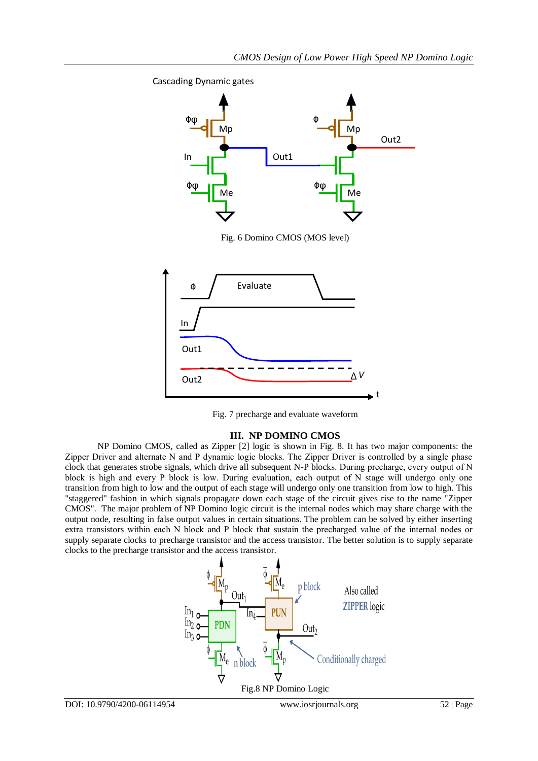t







## **III. NP DOMINO CMOS**

NP Domino CMOS, called as Zipper [2] logic is shown in Fig. 8. It has two major components: the Zipper Driver and alternate Ν and Ρ dynamic logic blocks. The Zipper Driver is controlled by a single phase clock that generates strobe signals, which drive all subsequent N-P blocks. During precharge, every output of Ν block is high and every Ρ block is low. During evaluation, each output of Ν stage will undergo only one transition from high to low and the output of each stage will undergo only one transition from low to high. This "staggered" fashion in which signals propagate down each stage of the circuit gives rise to the name "Zipper CMOS". The major problem of NP Domino logic circuit is the internal nodes which may share charge with the output node, resulting in false output values in certain situations. The problem can be solved by either inserting extra transistors within each Ν block and Ρ block that sustain the precharged value of the internal nodes or supply separate clocks to precharge transistor and the access transistor. The better solution is to supply separate clocks to the precharge transistor and the access transistor.

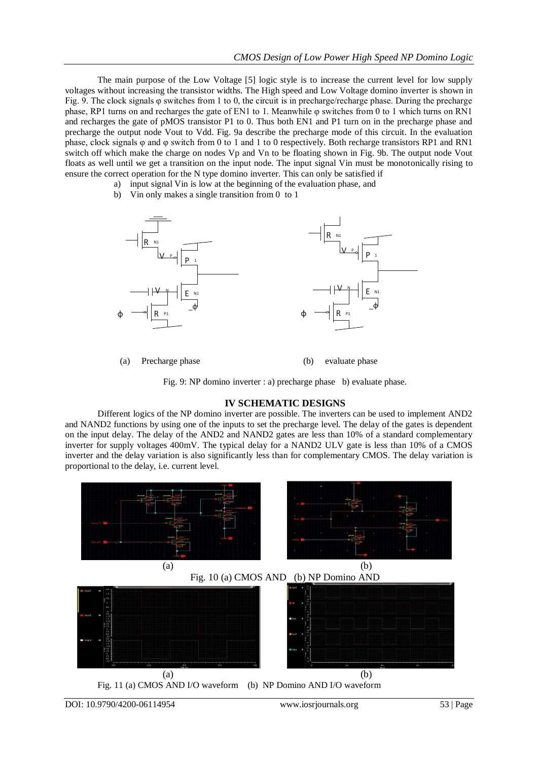The main purpose of the Low Voltage [5] logic style is to increase the current level for low supply voltages without increasing the transistor widths. The High speed and Low Voltage domino inverter is shown in Fig. 9. The clock signals φ switches from 1 to 0, the circuit is in precharge/recharge phase. During the precharge phase, RP1 turns on and recharges the gate of EN1 to 1. Meanwhile φ switches from 0 to 1 which turns on RN1 and recharges the gate of pMOS transistor P1 to 0. Thus both EN1 and P1 turn on in the precharge phase and precharge the output node Vout to Vdd. Fig. 9a describe the precharge mode of this circuit. In the evaluation phase, clock signals φ and φ switch from 0 to 1 and 1 to 0 respectively. Both recharge transistors RP1 and RN1 switch off which make the charge on nodes Vp and Vn to be floating shown in Fig. 9b. The output node Vout floats as well until we get a transition on the input node. The input signal Vin must be monotonically rising to ensure the correct operation for the N type domino inverter. This can only be satisfied if

- a) input signal Vin is low at the beginning of the evaluation phase, and
- b) Vin only makes a single transition from 0 to 1



(a) Precharge phase (b) evaluate phase

Fig. 9: NP domino inverter : a) precharge phase b) evaluate phase.

#### **IV SCHEMATIC DESIGNS**

Different logics of the NP domino inverter are possible. The inverters can be used to implement AND2 and NAND2 functions by using one of the inputs to set the precharge level. The delay of the gates is dependent on the input delay. The delay of the AND2 and NAND2 gates are less than 10% of a standard complementary inverter for supply voltages 400mV. The typical delay for a NAND2 ULV gate is less than 10% of a CMOS inverter and the delay variation is also significantly less than for complementary CMOS. The delay variation is proportional to the delay, i.e. current level.